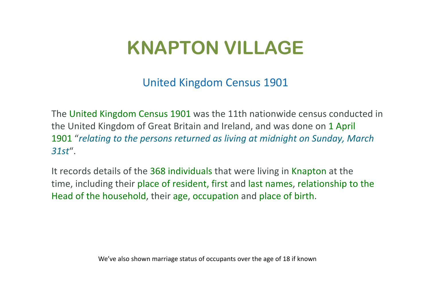## **KNAPTON VILLAGE**

United Kingdom Census 1901

The United Kingdom Census 1901 was the 11th nationwide census conducted in the United Kingdom of Great Britain and Ireland, and was done on 1 April 1901 "*relating to the persons returned as living at midnight on Sunday, March 31st*".

It records details of the 368 individuals that were living in Knapton at the time, including their place of resident, first and last names, relationship to the Head of the household, their age, occupation and place of birth.

We've also shown marriage status of occupants over the age of 18 if known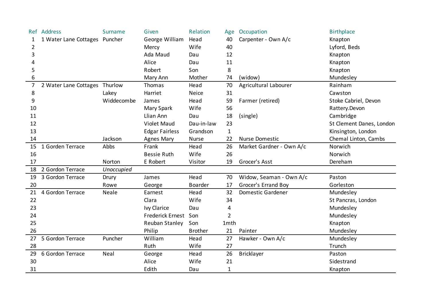| Ref | Address                       | <b>Surname</b> | Given                   | Relation       | Age          | Occupation               | <b>Birthplace</b>        |
|-----|-------------------------------|----------------|-------------------------|----------------|--------------|--------------------------|--------------------------|
| 1   | 1 Water Lane Cottages Puncher |                | George William          | Head           | 40           | Carpenter - Own A/c      | Knapton                  |
| 2   |                               |                | Mercy                   | Wife           | 40           |                          | Lyford, Beds             |
| 3   |                               |                | Ada Maud                | Dau            | 12           |                          | Knapton                  |
| 4   |                               |                | Alice                   | Dau            | 11           |                          | Knapton                  |
| 5   |                               |                | Robert                  | Son            | 8            |                          | Knapton                  |
| 6   |                               |                | Mary Ann                | Mother         | 74           | (widow)                  | Mundesley                |
| 7   | 2 Water Lane Cottages         | Thurlow        | Thomas                  | Head           | 70           | Agricultural Labourer    | Rainham                  |
| 8   |                               | Lakey          | Harriet                 | <b>Neice</b>   | 31           |                          | Cawston                  |
| 9   |                               | Widdecombe     | James                   | Head           | 59           | Farmer (retired)         | Stoke Cabriel, Devon     |
| 10  |                               |                | Mary Spark              | Wife           | 56           |                          | Rattery.Devon            |
| 11  |                               |                | Llian Ann               | Dau            | 18           | (single)                 | Cambridge                |
| 12  |                               |                | <b>Violet Maud</b>      | Dau-in-law     | 23           |                          | St Clement Danes, London |
| 13  |                               |                | <b>Edgar Fairless</b>   | Grandson       | $\mathbf{1}$ |                          | Kinsington, London       |
| 14  |                               | Jackson        | <b>Agnes Mary</b>       | <b>Nurse</b>   | 22           | <b>Nurse Domestic</b>    | Chemal Linton, Cambs     |
| 15  | 1 Gorden Terrace              | Abbs           | Frank                   | Head           | 26           | Market Gardner - Own A/c | Norwich                  |
| 16  |                               |                | <b>Bessie Ruth</b>      | Wife           | 26           |                          | Norwich                  |
| 17  |                               | Norton         | E Robert                | Visitor        | 19           | Grocer's Asst            | Dereham                  |
| 18  | 2 Gordon Terrace              | Unoccupied     |                         |                |              |                          |                          |
| 19  | 3 Gordon Terrace              | Drury          | James                   | Head           | 70           | Widow, Seaman - Own A/c  | Paston                   |
| 20  |                               | Rowe           | George                  | <b>Boarder</b> | 17           | Grocer's Errand Boy      | Gorleston                |
| 21  | 4 Gordon Terrace              | Neale          | Earnest                 | Head           | 32           | <b>Domestic Gardener</b> | Mundesley                |
| 22  |                               |                | Clara                   | Wife           | 34           |                          | St Pancras, London       |
| 23  |                               |                | Ivy Clarice             | Dau            | 4            |                          | Mundesley                |
| 24  |                               |                | <b>Frederick Ernest</b> | Son            | 2            |                          | Mundesley                |
| 25  |                               |                | Reuban Stanley          | Son            | 1mth         |                          | Knapton                  |
| 26  |                               |                | Philip                  | <b>Brother</b> | 21           | Painter                  | Mundesley                |
| 27  | 5 Gordon Terrace              | Puncher        | William                 | Head           | 27           | Hawker - Own A/c         | Mundesley                |
| 28  |                               |                | Ruth                    | Wife           | 27           |                          | Trunch                   |
| 29  | 6 Gordon Terrace              | Neal           | George                  | Head           | 26           | <b>Bricklayer</b>        | Paston                   |
| 30  |                               |                | Alice                   | Wife           | 21           |                          | Sidestrand               |
| 31  |                               |                | Edith                   | Dau            | $\mathbf{1}$ |                          | Knapton                  |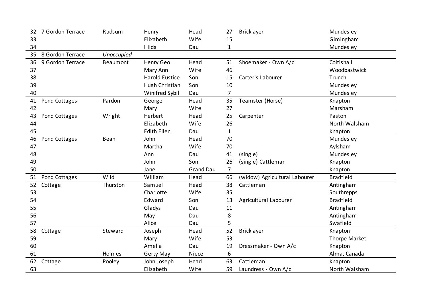| 32 | 7 Gordon Terrace | Rudsum          | Henry                 | Head             | 27             | Bricklayer                    | Mundesley        |
|----|------------------|-----------------|-----------------------|------------------|----------------|-------------------------------|------------------|
| 33 |                  |                 | Elixabeth             | Wife             | 15             |                               | Gimingham        |
| 34 |                  |                 | Hilda                 | Dau              | $\mathbf{1}$   |                               | Mundesley        |
| 35 | 8 Gordon Terrace | Unoccupied      |                       |                  |                |                               |                  |
| 36 | 9 Gordon Terrace | <b>Beaumont</b> | Henry Geo             | Head             | 51             | Shoemaker - Own A/c           | Coltishall       |
| 37 |                  |                 | Mary Ann              | Wife             | 46             |                               | Woodbastwick     |
| 38 |                  |                 | <b>Harold Eustice</b> | Son              | 15             | Carter's Labourer             | Trunch           |
| 39 |                  |                 | Hugh Christian        | Son              | 10             |                               | Mundesley        |
| 40 |                  |                 | Winifred Sybil        | Dau              | $\overline{7}$ |                               | Mundesley        |
| 41 | Pond Cottages    | Pardon          | George                | Head             | 35             | Teamster (Horse)              | Knapton          |
| 42 |                  |                 | Mary                  | Wife             | 27             |                               | Marsham          |
| 43 | Pond Cottages    | Wright          | Herbert               | Head             | 25             | Carpenter                     | Paston           |
| 44 |                  |                 | Elizabeth             | Wife             | 26             |                               | North Walsham    |
| 45 |                  |                 | <b>Edith Ellen</b>    | Dau              | $\mathbf{1}$   |                               | Knapton          |
| 46 | Pond Cottages    | Bean            | John                  | Head             | 70             |                               | Mundesley        |
| 47 |                  |                 | Martha                | Wife             | 70             |                               | Aylsham          |
| 48 |                  |                 | Ann                   | Dau              | 41             | (single)                      | Mundesley        |
| 49 |                  |                 | John                  | Son              | 26             | (single) Cattleman            | Knapton          |
| 50 |                  |                 | Jane                  | <b>Grand Dau</b> | 7              |                               | Knapton          |
| 51 | Pond Cottages    | Wild            | William               | Head             | 66             | (widow) Agricultural Labourer | <b>Bradfield</b> |
| 52 | Cottage          | Thurston        | Samuel                | Head             | 38             | Cattleman                     | Antingham        |
| 53 |                  |                 | Charlotte             | Wife             | 35             |                               | Southrepps       |
| 54 |                  |                 | Edward                | Son              | 13             | Agricultural Labourer         | <b>Bradfield</b> |
| 55 |                  |                 | Gladys                | Dau              | 11             |                               | Antingham        |
| 56 |                  |                 | May                   | Dau              | 8              |                               | Antingham        |
| 57 |                  |                 | Alice                 | Dau              | 5              |                               | Swafield         |
| 58 | Cottage          | Steward         | Joseph                | Head             | 52             | <b>Bricklayer</b>             | Knapton          |
| 59 |                  |                 | Mary                  | Wife             | 53             |                               | Thorpe Market    |
| 60 |                  |                 | Amelia                | Dau              | 19             | Dressmaker - Own A/c          | Knapton          |
| 61 |                  | Holmes          | <b>Gerty May</b>      | Niece            | 6              |                               | Alma, Canada     |
| 62 | Cottage          | Pooley          | John Joseph           | Head             | 63             | Cattleman                     | Knapton          |
| 63 |                  |                 | Elizabeth             | Wife             | 59             | Laundress - Own A/c           | North Walsham    |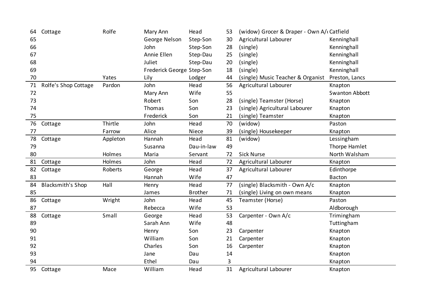| 64 | Cottage                  | Rolfe    | Mary Ann                  | Head           | 53 | (widow) Grocer & Draper - Own A/ catfield |                       |
|----|--------------------------|----------|---------------------------|----------------|----|-------------------------------------------|-----------------------|
| 65 |                          |          | George Nelson             | Step-Son       | 30 | Agricultural Labourer                     | Kenninghall           |
| 66 |                          |          | John                      | Step-Son       | 28 | (single)                                  | Kenninghall           |
| 67 |                          |          | Annie Ellen               | Step-Dau       | 25 | (single)                                  | Kenninghall           |
| 68 |                          |          | Juliet                    | Step-Dau       | 20 | (single)                                  | Kenninghall           |
| 69 |                          |          | Frederick George Step-Son |                | 18 | (single)                                  | Kenninghall           |
| 70 |                          | Yates    | Lily                      | Lodger         | 44 | (single) Music Teacher & Organist         | Preston, Lancs        |
| 71 | Rolfe's Shop Cottage     | Pardon   | John                      | Head           | 56 | Agricultural Labourer                     | Knapton               |
| 72 |                          |          | Mary Ann                  | Wife           | 55 |                                           | <b>Swanton Abbott</b> |
| 73 |                          |          | Robert                    | Son            | 28 | (single) Teamster (Horse)                 | Knapton               |
| 74 |                          |          | Thomas                    | Son            | 23 | (single) Agricultural Labourer            | Knapton               |
| 75 |                          |          | Frederick                 | Son            | 21 | (single) Teamster                         | Knapton               |
| 76 | Cottage                  | Thirtle  | John                      | Head           | 70 | (widow)                                   | Paston                |
| 77 |                          | Farrow   | Alice                     | Niece          | 39 | (single) Housekeeper                      | Knapton               |
| 78 | Cottage                  | Appleton | Hannah                    | Head           | 81 | (widow)                                   | Lessingham            |
| 79 |                          |          | Susanna                   | Dau-in-law     | 49 |                                           | Thorpe Hamlet         |
| 80 |                          | Holmes   | Maria                     | Servant        | 72 | <b>Sick Nurse</b>                         | North Walsham         |
| 81 | Cottage                  | Holmes   | John                      | Head           | 72 | Agricultural Labourer                     | Knapton               |
| 82 | Cottage                  | Roberts  | George                    | Head           | 37 | Agricultural Labourer                     | Edinthorpe            |
| 83 |                          |          | Hannah                    | Wife           | 47 |                                           | Bacton                |
| 84 | <b>Blacksmith's Shop</b> | Hall     | Henry                     | Head           | 77 | (single) Blacksmith - Own A/c             | Knapton               |
| 85 |                          |          | James                     | <b>Brother</b> | 71 | (single) Living on own means              | Knapton               |
| 86 | Cottage                  | Wright   | John                      | Head           | 45 | Teamster (Horse)                          | Paston                |
| 87 |                          |          | Rebecca                   | Wife           | 53 |                                           | Aldborough            |
| 88 | Cottage                  | Small    | George                    | Head           | 53 | Carpenter - Own A/c                       | Trimingham            |
| 89 |                          |          | Sarah Ann                 | Wife           | 48 |                                           | Tuttingham            |
| 90 |                          |          | Henry                     | Son            | 23 | Carpenter                                 | Knapton               |
| 91 |                          |          | William                   | Son            | 21 | Carpenter                                 | Knapton               |
| 92 |                          |          | Charles                   | Son            | 16 | Carpenter                                 | Knapton               |
| 93 |                          |          | Jane                      | Dau            | 14 |                                           | Knapton               |
| 94 |                          |          | Ethel                     | Dau            | 3  |                                           | Knapton               |
| 95 | Cottage                  | Mace     | William                   | Head           | 31 | Agricultural Labourer                     | Knapton               |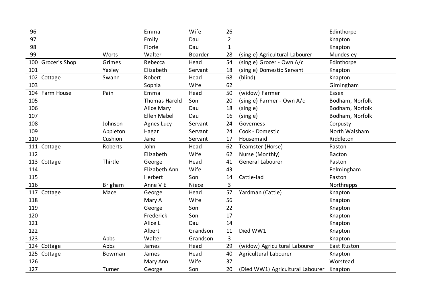| 96                   |                | Emma                 | Wife     | 26             |                                  | Edinthorpe      |
|----------------------|----------------|----------------------|----------|----------------|----------------------------------|-----------------|
| 97                   |                | Emily                | Dau      | $\overline{2}$ |                                  | Knapton         |
| 98                   |                | Florie               | Dau      | $\mathbf{1}$   |                                  | Knapton         |
| 99                   | Worts          | Walter               | Boarder  | 28             | (single) Agricultural Labourer   | Mundesley       |
| Grocer's Shop<br>100 | Grimes         | Rebecca              | Head     | 54             | (single) Grocer - Own A/c        | Edinthorpe      |
| 101                  | Yaxley         | Elizabeth            | Servant  | 18             | (single) Domestic Servant        | Knapton         |
| 102 Cottage          | Swann          | Robert               | Head     | 68             | (blind)                          | Knapton         |
| 103                  |                | Sophia               | Wife     | 62             |                                  | Gimingham       |
| 104 Farm House       | Pain           | Emma                 | Head     | 50             | (widow) Farmer                   | <b>Essex</b>    |
| 105                  |                | <b>Thomas Harold</b> | Son      | 20             | (single) Farmer - Own A/c        | Bodham, Norfolk |
| 106                  |                | Alice Mary           | Dau      | 18             | (single)                         | Bodham, Norfolk |
| 107                  |                | <b>Ellen Mabel</b>   | Dau      | 16             | (single)                         | Bodham, Norfolk |
| 108                  | Johnson        | Agnes Lucy           | Servant  | 24             | Governess                        | Corpusty        |
| 109                  | Appleton       | Hagar                | Servant  | 24             | Cook - Domestic                  | North Walsham   |
| 110                  | Cushion        | Jane                 | Servant  | 17             | Housemaid                        | Riddleton       |
| 111 Cottage          | Roberts        | John                 | Head     | 62             | Teamster (Horse)                 | Paston          |
| 112                  |                | Elizabeth            | Wife     | 62             | Nurse (Monthly)                  | <b>Bacton</b>   |
| 113 Cottage          | Thirtle        | George               | Head     | 41             | General Labourer                 | Paston          |
| 114                  |                | Elizabeth Ann        | Wife     | 43             |                                  | Felmingham      |
| 115                  |                | Herbert              | Son      | 14             | Cattle-lad                       | Paston          |
| 116                  | <b>Brigham</b> | Anne V E             | Niece    | 3              |                                  | Northrepps      |
| 117 Cottage          | Mace           | George               | Head     | 57             | Yardman (Cattle)                 | Knapton         |
| 118                  |                | Mary A               | Wife     | 56             |                                  | Knapton         |
| 119                  |                | George               | Son      | 22             |                                  | Knapton         |
| 120                  |                | Frederick            | Son      | 17             |                                  | Knapton         |
| 121                  |                | Alice L              | Dau      | 14             |                                  | Knapton         |
| 122                  |                | Albert               | Grandson | 11             | Died WW1                         | Knapton         |
| 123                  | Abbs           | Walter               | Grandson | 3              |                                  | Knapton         |
| 124 Cottage          | Abbs           | James                | Head     | 29             | (widow) Agricultural Labourer    | East Ruston     |
| 125 Cottage          | Bowman         | James                | Head     | 40             | Agricultural Labourer            | Knapton         |
| 126                  |                | Mary Ann             | Wife     | 37             |                                  | Worstead        |
| 127                  | Turner         | George               | Son      | 20             | (Died WW1) Agricultural Labourer | Knapton         |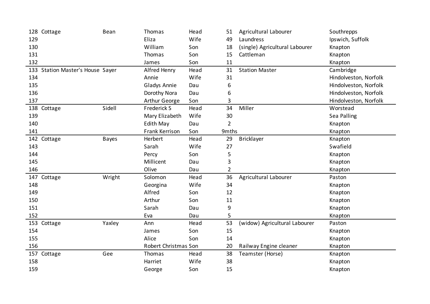|     | 128 Cottage                      | Bean         | Thomas               | Head | 51             | Agricultural Labourer          | Southrepps            |
|-----|----------------------------------|--------------|----------------------|------|----------------|--------------------------------|-----------------------|
| 129 |                                  |              | Eliza                | Wife | 49             | Laundress                      | Ipswich, Suffolk      |
| 130 |                                  |              | William              | Son  | 18             | (single) Agricultural Labourer | Knapton               |
| 131 |                                  |              | Thomas               | Son  | 15             | Cattleman                      | Knapton               |
| 132 |                                  |              | James                | Son  | 11             |                                | Knapton               |
|     | 133 Station Master's House Sayer |              | Alfred Henry         | Head | 31             | <b>Station Master</b>          | Cambridge             |
| 134 |                                  |              | Annie                | Wife | 31             |                                | Hindolveston, Norfolk |
| 135 |                                  |              | Gladys Annie         | Dau  | 6              |                                | Hindolveston, Norfolk |
| 136 |                                  |              | Dorothy Nora         | Dau  | 6              |                                | Hindolveston, Norfolk |
| 137 |                                  |              | Arthur George        | Son  | 3              |                                | Hindolveston, Norfolk |
|     | 138 Cottage                      | Sidell       | <b>Frederick S</b>   | Head | 34             | Miller                         | Worstead              |
| 139 |                                  |              | Mary Elizabeth       | Wife | 30             |                                | Sea Palling           |
| 140 |                                  |              | Edith May            | Dau  | $\overline{2}$ |                                | Knapton               |
| 141 |                                  |              | Frank Kerrison       | Son  | 9mths          |                                | Knapton               |
|     | 142 Cottage                      | <b>Bayes</b> | Herbert              | Head | 29             | Bricklayer                     | Knapton               |
| 143 |                                  |              | Sarah                | Wife | 27             |                                | Swafield              |
| 144 |                                  |              | Percy                | Son  | 5              |                                | Knapton               |
| 145 |                                  |              | Millicent            | Dau  | 3              |                                | Knapton               |
| 146 |                                  |              | Olive                | Dau  | $\overline{2}$ |                                | Knapton               |
|     | 147 Cottage                      | Wright       | Solomon              | Head | 36             | Agricultural Labourer          | Paston                |
| 148 |                                  |              | Georgina             | Wife | 34             |                                | Knapton               |
| 149 |                                  |              | Alfred               | Son  | 12             |                                | Knapton               |
| 150 |                                  |              | Arthur               | Son  | 11             |                                | Knapton               |
| 151 |                                  |              | Sarah                | Dau  | 9              |                                | Knapton               |
| 152 |                                  |              | Eva                  | Dau  | 5              |                                | Knapton               |
|     | 153 Cottage                      | Yaxley       | Ann                  | Head | 53             | (widow) Agricultural Labourer  | Paston                |
| 154 |                                  |              | James                | Son  | 15             |                                | Knapton               |
| 155 |                                  |              | Alice                | Son  | 14             |                                | Knapton               |
| 156 |                                  |              | Robert Christmas Son |      | 20             | Railway Engine cleaner         | Knapton               |
|     | 157 Cottage                      | Gee          | Thomas               | Head | 38             | Teamster (Horse)               | Knapton               |
| 158 |                                  |              | Harriet              | Wife | 38             |                                | Knapton               |
| 159 |                                  |              | George               | Son  | 15             |                                | Knapton               |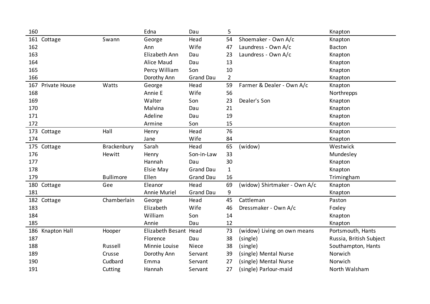| 160                 |                  | Edna                  | Dau              | 5              |                              | Knapton                 |
|---------------------|------------------|-----------------------|------------------|----------------|------------------------------|-------------------------|
| 161 Cottage         | Swann            | George                | Head             | 54             | Shoemaker - Own A/c          | Knapton                 |
| 162                 |                  | Ann                   | Wife             | 47             | Laundress - Own A/c          | <b>Bacton</b>           |
| 163                 |                  | Elizabeth Ann         | Dau              | 23             | Laundress - Own A/c          | Knapton                 |
| 164                 |                  | Alice Maud            | Dau              | 13             |                              | Knapton                 |
| 165                 |                  | Percy William         | Son              | 10             |                              | Knapton                 |
| 166                 |                  | Dorothy Ann           | <b>Grand Dau</b> | $\overline{2}$ |                              | Knapton                 |
| 167 Private House   | Watts            | George                | Head             | 59             | Farmer & Dealer - Own A/c    | Knapton                 |
| 168                 |                  | Annie E               | Wife             | 56             |                              | Northrepps              |
| 169                 |                  | Walter                | Son              | 23             | Dealer's Son                 | Knapton                 |
| 170                 |                  | Malvina               | Dau              | 21             |                              | Knapton                 |
| 171                 |                  | Adeline               | Dau              | 19             |                              | Knapton                 |
| 172                 |                  | Armine                | Son              | 15             |                              | Knapton                 |
| 173 Cottage         | Hall             | Henry                 | Head             | 76             |                              | Knapton                 |
| 174                 |                  | Jane                  | Wife             | 84             |                              | Knapton                 |
| 175 Cottage         | Brackenbury      | Sarah                 | Head             | 65             | (widow)                      | Westwick                |
| 176                 | Hewitt           | Henry                 | Son-in-Law       | 33             |                              | Mundesley               |
| 177                 |                  | Hannah                | Dau              | 30             |                              | Knapton                 |
| 178                 |                  | Elsie May             | <b>Grand Dau</b> | $\mathbf{1}$   |                              | Knapton                 |
| 179                 | <b>Bullimore</b> | Ellen                 | <b>Grand Dau</b> | 16             |                              | Trimingham              |
| 180 Cottage         | Gee              | Eleanor               | Head             | 69             | (widow) Shirtmaker - Own A/c | Knapton                 |
| 181                 |                  | Annie Muriel          | <b>Grand Dau</b> | 9              |                              | Knapton                 |
| 182 Cottage         | Chamberlain      | George                | Head             | 45             | Cattleman                    | Paston                  |
| 183                 |                  | Elizabeth             | Wife             | 46             | Dressmaker - Own A/c         | Foxley                  |
| 184                 |                  | William               | Son              | 14             |                              | Knapton                 |
| 185                 |                  | Annie                 | Dau              | 12             |                              | Knapton                 |
| 186<br>Knapton Hall | Hooper           | Elizabeth Besant Head |                  | 73             | (widow) Living on own means  | Portsmouth, Hants       |
| 187                 |                  | Florence              | Dau              | 38             | (single)                     | Russia, British Subject |
| 188                 | Russell          | Minnie Louise         | Niece            | 38             | (single)                     | Southampton, Hants      |
| 189                 | Crusse           | Dorothy Ann           | Servant          | 39             | (single) Mental Nurse        | Norwich                 |
| 190                 | Cudbard          | Emma                  | Servant          | 27             | (single) Mental Nurse        | Norwich                 |
| 191                 | Cutting          | Hannah                | Servant          | 27             | (single) Parlour-maid        | North Walsham           |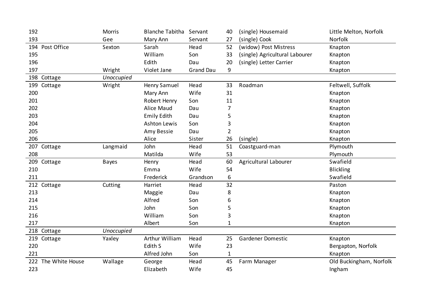| 192                 | Morris       | <b>Blanche Tabitha Servant</b> |                  | 40             | (single) Housemaid             | Little Melton, Norfolk  |
|---------------------|--------------|--------------------------------|------------------|----------------|--------------------------------|-------------------------|
| 193                 | Gee          | Mary Ann                       | Servant          | 27             | (single) Cook                  | Norfolk                 |
| 194 Post Office     | Sexton       | Sarah                          | Head             | 52             | (widow) Post Mistress          | Knapton                 |
| 195                 |              | William                        | Son              | 33             | (single) Agricultural Labourer | Knapton                 |
| 196                 |              | Edith                          | Dau              | 20             | (single) Letter Carrier        | Knapton                 |
| 197                 | Wright       | Violet Jane                    | <b>Grand Dau</b> | 9              |                                | Knapton                 |
| 198 Cottage         | Unoccupied   |                                |                  |                |                                |                         |
| 199 Cottage         | Wright       | <b>Henry Samuel</b>            | Head             | 33             | Roadman                        | Feltwell, Suffolk       |
| 200                 |              | Mary Ann                       | Wife             | 31             |                                | Knapton                 |
| 201                 |              | Robert Henry                   | Son              | 11             |                                | Knapton                 |
| 202                 |              | Alice Maud                     | Dau              | $\overline{7}$ |                                | Knapton                 |
| 203                 |              | <b>Emily Edith</b>             | Dau              | 5              |                                | Knapton                 |
| 204                 |              | <b>Ashton Lewis</b>            | Son              | 3              |                                | Knapton                 |
| 205                 |              | Amy Bessie                     | Dau              | $\overline{2}$ |                                | Knapton                 |
| 206                 |              | Alice                          | Sister           | 26             | (single)                       | Knapton                 |
| 207 Cottage         | Langmaid     | John                           | Head             | 51             | Coastguard-man                 | Plymouth                |
| 208                 |              | Matilda                        | Wife             | 53             |                                | Plymouth                |
| 209 Cottage         | <b>Bayes</b> | Henry                          | Head             | 60             | Agricultural Labourer          | Swafield                |
| 210                 |              | Emma                           | Wife             | 54             |                                | <b>Blickling</b>        |
| 211                 |              | Frederick                      | Grandson         | 6              |                                | Swafield                |
| 212 Cottage         | Cutting      | Harriet                        | Head             | 32             |                                | Paston                  |
| 213                 |              | Maggie                         | Dau              | 8              |                                | Knapton                 |
| 214                 |              | Alfred                         | Son              | 6              |                                | Knapton                 |
| 215                 |              | John                           | Son              | 5              |                                | Knapton                 |
| 216                 |              | William                        | Son              | 3              |                                | Knapton                 |
| 217                 |              | Albert                         | Son              | 1              |                                | Knapton                 |
| 218 Cottage         | Unoccupied   |                                |                  |                |                                |                         |
| 219 Cottage         | Yaxley       | Arthur William                 | Head             | 25             | Gardener Domestic              | Knapton                 |
| 220                 |              | Edith S                        | Wife             | 23             |                                | Bergapton, Norfolk      |
| 221                 |              | Alfred John                    | Son              | $\mathbf{1}$   |                                | Knapton                 |
| 222 The White House | Wallage      | George                         | Head             | 45             | Farm Manager                   | Old Buckingham, Norfolk |
| 223                 |              | Elizabeth                      | Wife             | 45             |                                | Ingham                  |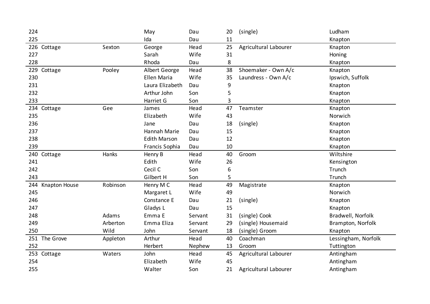| 224                         |          | May                 | Dau     | 20 | (single)              | Ludham              |
|-----------------------------|----------|---------------------|---------|----|-----------------------|---------------------|
| 225                         |          | Ida                 | Dau     | 11 |                       | Knapton             |
| 226 Cottage                 | Sexton   | George              | Head    | 25 | Agricultural Labourer | Knapton             |
| 227                         |          | Sarah               | Wife    | 31 |                       | Honing              |
| 228                         |          | Rhoda               | Dau     | 8  |                       | Knapton             |
| 229<br>Cottage              | Pooley   | Albert George       | Head    | 38 | Shoemaker - Own A/c   | Knapton             |
| 230                         |          | <b>Ellen Maria</b>  | Wife    | 35 | Laundress - Own A/c   | Ipswich, Suffolk    |
| 231                         |          | Laura Elizabeth     | Dau     | 9  |                       | Knapton             |
| 232                         |          | Arthur John         | Son     | 5  |                       | Knapton             |
| 233                         |          | Harriet G           | Son     | 3  |                       | Knapton             |
| 234 Cottage                 | Gee      | James               | Head    | 47 | Teamster              | Knapton             |
| 235                         |          | Elizabeth           | Wife    | 43 |                       | Norwich             |
| 236                         |          | Jane                | Dau     | 18 | (single)              | Knapton             |
| 237                         |          | Hannah Marie        | Dau     | 15 |                       | Knapton             |
| 238                         |          | <b>Edith Marson</b> | Dau     | 12 |                       | Knapton             |
| 239                         |          | Francis Sophia      | Dau     | 10 |                       | Knapton             |
| 240<br>Cottage              | Hanks    | Henry B             | Head    | 40 | Groom                 | Wiltshire           |
| 241                         |          | Edith               | Wife    | 26 |                       | Kensington          |
| 242                         |          | Cecil C             | Son     | 6  |                       | Trunch              |
| 243                         |          | Gilbert H           | Son     | 5  |                       | Trunch              |
| 244<br><b>Knapton House</b> | Robinson | Henry M C           | Head    | 49 | Magistrate            | Knapton             |
| 245                         |          | Margaret L          | Wife    | 49 |                       | Norwich             |
| 246                         |          | Constance E         | Dau     | 21 | (single)              | Knapton             |
| 247                         |          | Gladys L            | Dau     | 15 |                       | Knapton             |
| 248                         | Adams    | Emma E              | Servant | 31 | (single) Cook         | Bradwell, Norfolk   |
| 249                         | Arberton | Emma Eliza          | Servant | 29 | (single) Housemaid    | Brampton, Norfolk   |
| 250                         | Wild     | John                | Servant | 18 | (single) Groom        | Knapton             |
| 251 The Grove               | Appleton | Arthur              | Head    | 40 | Coachman              | Lessingham, Norfolk |
| 252                         |          | Herbert             | Nephew  | 13 | Groom                 | Tuttington          |
| 253 Cottage                 | Waters   | John                | Head    | 45 | Agricultural Labourer | Antingham           |
| 254                         |          | Elizabeth           | Wife    | 45 |                       | Antingham           |
| 255                         |          | Walter              | Son     | 21 | Agricultural Labourer | Antingham           |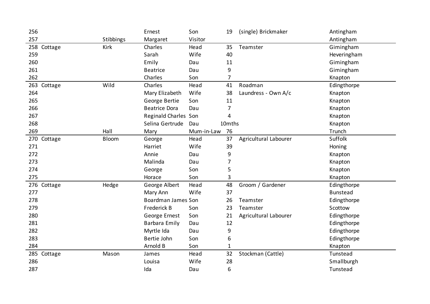| 256         |           | Ernest               | Son        | 19     | (single) Brickmaker   | Antingham       |
|-------------|-----------|----------------------|------------|--------|-----------------------|-----------------|
| 257         | Stibbings | Margaret             | Visitor    |        |                       | Antingham       |
| 258 Cottage | Kirk      | Charles              | Head       | 35     | Teamster              | Gimingham       |
| 259         |           | Sarah                | Wife       | 40     |                       | Heveringham     |
| 260         |           | Emily                | Dau        | 11     |                       | Gimingham       |
| 261         |           | <b>Beatrice</b>      | Dau        | 9      |                       | Gimingham       |
| 262         |           | Charles              | Son        | 7      |                       | Knapton         |
| 263 Cottage | Wild      | Charles              | Head       | 41     | Roadman               | Edingthorpe     |
| 264         |           | Mary Elizabeth       | Wife       | 38     | Laundress - Own A/c   | Knapton         |
| 265         |           | George Bertie        | Son        | 11     |                       | Knapton         |
| 266         |           | <b>Beatrice Dora</b> | Dau        | 7      |                       | Knapton         |
| 267         |           | Reginald Charles Son |            | 4      |                       | Knapton         |
| 268         |           | Selina Gertrude      | Dau        | 10mths |                       | Knapton         |
| 269         | Hall      | Mary                 | Mum-in-Law | 76     |                       | Trunch          |
| 270 Cottage | Bloom     | George               | Head       | 37     | Agricultural Labourer | Suffolk         |
| 271         |           | Harriet              | Wife       | 39     |                       | Honing          |
| 272         |           | Annie                | Dau        | 9      |                       | Knapton         |
| 273         |           | Malinda              | Dau        | 7      |                       | Knapton         |
| 274         |           | George               | Son        | 5      |                       | Knapton         |
| 275         |           | Horace               | Son        | 3      |                       | Knapton         |
| 276 Cottage | Hedge     | George Albert        | Head       | 48     | Groom / Gardener      | Edingthorpe     |
| 277         |           | Mary Ann             | Wife       | 37     |                       | <b>Bunstead</b> |
| 278         |           | Boardman James Son   |            | 26     | Teamster              | Edingthorpe     |
| 279         |           | Frederick B          | Son        | 23     | Teamster              | Scottow         |
| 280         |           | George Ernest        | Son        | 21     | Agricultural Labourer | Edingthorpe     |
| 281         |           | Barbara Emily        | Dau        | 12     |                       | Edingthorpe     |
| 282         |           | Myrtle Ida           | Dau        | 9      |                       | Edingthorpe     |
| 283         |           | Bertie John          | Son        | 6      |                       | Edingthorpe     |
| 284         |           | Arnold B             | Son        | 1      |                       | Knapton         |
| 285 Cottage | Mason     | James                | Head       | 32     | Stockman (Cattle)     | Tunstead        |
| 286         |           | Louisa               | Wife       | 28     |                       | Smallburgh      |
| 287         |           | Ida                  | Dau        | 6      |                       | Tunstead        |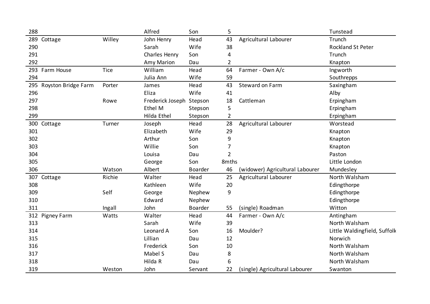| 288                     |        | Alfred                   | Son            | 5              |                                 | Tunstead                     |
|-------------------------|--------|--------------------------|----------------|----------------|---------------------------------|------------------------------|
| 289 Cottage             | Willey | John Henry               | Head           | 43             | Agricultural Labourer           | Trunch                       |
| 290                     |        | Sarah                    | Wife           | 38             |                                 | Rockland St Peter            |
| 291                     |        | Charles Henry            | Son            | 4              |                                 | Trunch                       |
| 292                     |        | Amy Marion               | Dau            | $\overline{2}$ |                                 | Knapton                      |
| 293 Farm House          | Tice   | William                  | Head           | 64             | Farmer - Own A/c                | Ingworth                     |
| 294                     |        | Julia Ann                | Wife           | 59             |                                 | Southrepps                   |
| 295 Royston Bridge Farm | Porter | James                    | Head           | 43             | Steward on Farm                 | Saxingham                    |
| 296                     |        | Eliza                    | Wife           | 41             |                                 | Alby                         |
| 297                     | Rowe   | Frederick Joseph Stepson |                | 18             | Cattleman                       | Erpingham                    |
| 298                     |        | Ethel M                  | Stepson        | 5              |                                 | Erpingham                    |
| 299                     |        | Hilda Ethel              | Stepson        | $\overline{2}$ |                                 | Erpingham                    |
| 300 Cottage             | Turner | Joseph                   | Head           | 28             | Agricultural Labourer           | Worstead                     |
| 301                     |        | Elizabeth                | Wife           | 29             |                                 | Knapton                      |
| 302                     |        | Arthur                   | Son            | 9              |                                 | Knapton                      |
| 303                     |        | Willie                   | Son            | 7              |                                 | Knapton                      |
| 304                     |        | Louisa                   | Dau            | $\overline{2}$ |                                 | Paston                       |
| 305                     |        | George                   | Son            | 8mths          |                                 | Little London                |
| 306                     | Watson | Albert                   | <b>Boarder</b> | 46             | (widower) Agricultural Labourer | Mundesley                    |
| 307 Cottage             | Richie | Walter                   | Head           | 25             | Agricultural Labourer           | North Walsham                |
| 308                     |        | Kathleen                 | Wife           | 20             |                                 | Edingthorpe                  |
| 309                     | Self   | George                   | Nephew         | 9              |                                 | Edingthorpe                  |
| 310                     |        | Edward                   | Nephew         |                |                                 | Edingthorpe                  |
| 311                     | Ingall | John                     | Boarder        | 55             | (single) Roadman                | Witton                       |
| 312 Pigney Farm         | Watts  | Walter                   | Head           | 44             | Farmer - Own A/c                | Antingham                    |
| 313                     |        | Sarah                    | Wife           | 39             |                                 | North Walsham                |
| 314                     |        | Leonard A                | Son            | 16             | Moulder?                        | Little Waldingfield, Suffolk |
| 315                     |        | Lillian                  | Dau            | 12             |                                 | Norwich                      |
| 316                     |        | Frederick                | Son            | 10             |                                 | North Walsham                |
| 317                     |        | Mabel S                  | Dau            | 8              |                                 | North Walsham                |
| 318                     |        | Hilda R                  | Dau            | 6              |                                 | North Walsham                |
| 319                     | Weston | John                     | Servant        | 22             | (single) Agricultural Labourer  | Swanton                      |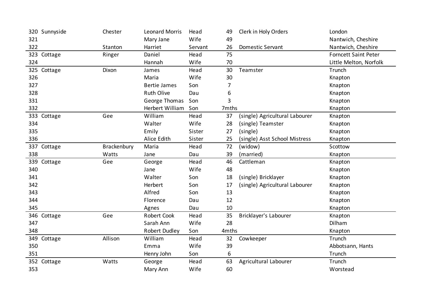| 320 Sunnyside  | Chester            | <b>Leonard Morris</b> | Head    | 49    | Clerk in Holy Orders           | London                      |
|----------------|--------------------|-----------------------|---------|-------|--------------------------------|-----------------------------|
| 321            |                    | Mary Jane             | Wife    | 49    |                                | Nantwich, Cheshire          |
| 322            | Stanton            | Harriet               | Servant | 26    | <b>Domestic Servant</b>        | Nantwich, Cheshire          |
| 323 Cottage    | Ringer             | Daniel                | Head    | 75    |                                | <b>Forncett Saint Peter</b> |
| 324            |                    | Hannah                | Wife    | 70    |                                | Little Melton, Norfolk      |
| 325 Cottage    | Dixon              | James                 | Head    | 30    | Teamster                       | Trunch                      |
| 326            |                    | Maria                 | Wife    | 30    |                                | Knapton                     |
| 327            |                    | <b>Bertie James</b>   | Son     | 7     |                                | Knapton                     |
| 328            |                    | <b>Ruth Olive</b>     | Dau     | 6     |                                | Knapton                     |
| 331            |                    | George Thomas         | Son     | 3     |                                | Knapton                     |
| 332            |                    | Herbert William       | Son     | 7mths |                                | Knapton                     |
| 333 Cottage    | Gee                | William               | Head    | 37    | (single) Agricultural Labourer | Knapton                     |
| 334            |                    | Walter                | Wife    | 28    | (single) Teamster              | Knapton                     |
| 335            |                    | Emily                 | Sister  | 27    | (single)                       | Knapton                     |
| 336            |                    | Alice Edith           | Sister  | 25    | (single) Asst School Mistress  | Knapton                     |
| 337 Cottage    | <b>Brackenbury</b> | Maria                 | Head    | 72    | (widow)                        | Scottow                     |
| 338            | Watts              | Jane                  | Dau     | 39    | (married)                      | Knapton                     |
| 339 Cottage    | Gee                | George                | Head    | 46    | Cattleman                      | Knapton                     |
| 340            |                    | Jane                  | Wife    | 48    |                                | Knapton                     |
| 341            |                    |                       |         |       |                                |                             |
|                |                    | Walter                | Son     | 18    | (single) Bricklayer            | Knapton                     |
| 342            |                    | Herbert               | Son     | 17    | (single) Agricultural Labourer | Knapton                     |
| 343            |                    | Alfred                | Son     | 13    |                                | Knapton                     |
| 344            |                    | Florence              | Dau     | 12    |                                | Knapton                     |
| 345            |                    | Agnes                 | Dau     | 10    |                                | Knapton                     |
| 346 Cottage    | Gee                | Robert Cook           | Head    | 35    | Bricklayer's Labourer          | Knapton                     |
| 347            |                    | Sarah Ann             | Wife    | 28    |                                | Dilham                      |
| 348            |                    | Robert Dudley         | Son     | 4mths |                                | Knapton                     |
| 349<br>Cottage | Allison            | William               | Head    | 32    | Cowkeeper                      | Trunch                      |
| 350            |                    | Emma                  | Wife    | 39    |                                | Abbotsann, Hants            |
| 351            |                    | Henry John            | Son     | 6     |                                | Trunch                      |
| 352 Cottage    | Watts              | George                | Head    | 63    | Agricultural Labourer          | Trunch                      |